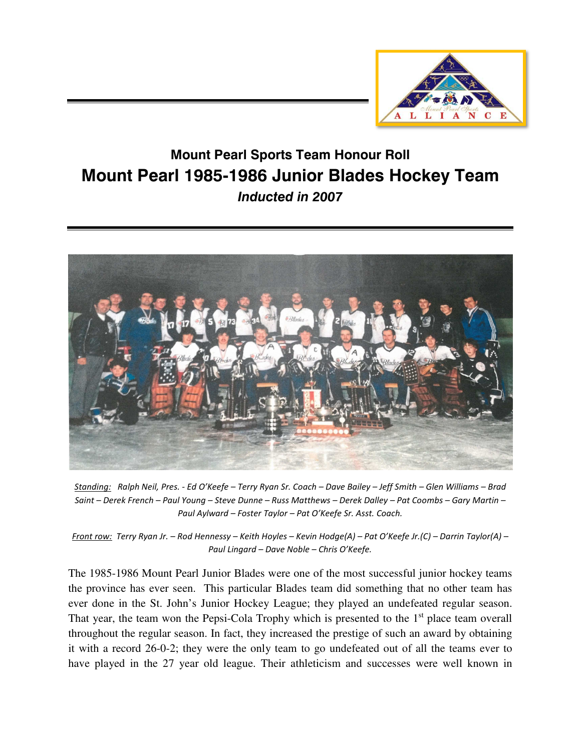

## **Mount Pearl Sports Team Honour Roll Mount Pearl 1985-1986 Junior Blades Hockey Team**  *Inducted in 2007*



*Standing: Ralph Neil, Pres. - Ed O'Keefe – Terry Ryan Sr. Coach – Dave Bailey – Jeff Smith – Glen Williams – Brad Saint – Derek French – Paul Young – Steve Dunne – Russ Matthews – Derek Dalley – Pat Coombs – Gary Martin – Paul Aylward – Foster Taylor – Pat O'Keefe Sr. Asst. Coach.* 

*Front row: Terry Ryan Jr. – Rod Hennessy – Keith Hoyles – Kevin Hodge(A) – Pat O'Keefe Jr.(C) – Darrin Taylor(A) – Paul Lingard – Dave Noble – Chris O'Keefe.* 

The 1985-1986 Mount Pearl Junior Blades were one of the most successful junior hockey teams the province has ever seen. This particular Blades team did something that no other team has ever done in the St. John's Junior Hockey League; they played an undefeated regular season. That year, the team won the Pepsi-Cola Trophy which is presented to the  $1<sup>st</sup>$  place team overall throughout the regular season. In fact, they increased the prestige of such an award by obtaining it with a record 26-0-2; they were the only team to go undefeated out of all the teams ever to have played in the 27 year old league. Their athleticism and successes were well known in